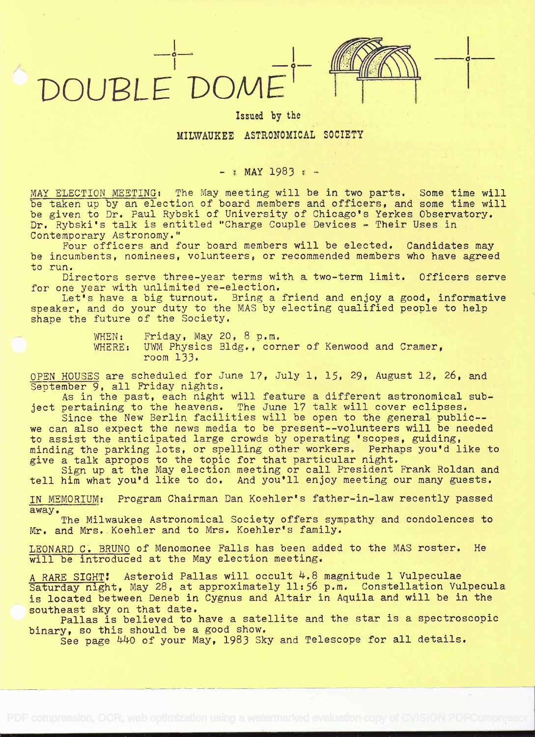# DOUBLE DOM



in the contract of the con-

Issued by the

### MILWAUKEE ASTRONOMICAL SOCIETY

### $-$  : MAY 1983  $+$

MAY ELECTION MEETING: The May meeting will be in two parts. Some time will be taken up by an election of board members and officers, and some time will be given to Dr. Paul Rybski of University of Chicago's Yerkes Observatory. Dr. Rybski's talk is entitled "Charge Couple Devices - Their Uses in Contemporary Astronomy."

Four officers and four board members will be elected. Candidates may be incumbents, nominees, volunteers, or recommended members who have agreed to run.

Directors serve three-year terms with a two-term limit. Officers serve for one year with unlimited re-election.

Let's have a big turnout. Bring a friend and enjoy a good, informative speaker, and do your duty to the MAS by electing qualified people to help shape the future of the Society.

> WHEN: Friday, May 20, 8 p.m. WHERE: UWM Physics Bldg., corner of Kenwood and Cramer, room 133.

OPEN HOUSES are scheduled for June 17, July 1, 15, 29, August 12, 26, and September 9, all Friday nights.

As in the past, each night will feature a different astronomical subject pertaining to the heavens. The June 17 talk will cover eclipses.

Since the New Berlin facilities will be open to the general public- we can also expect the news media to be present--volunteers will be needed to assist the anticipated large crowds by operating 'scopes, guiding, minding the parking lots, or spelling other workers. Perhaps you'd like to give a talk apropos to the topic for that particular night.

Sign up at the May election. meeting or call President Frank Roldan and tell him what you'd like to do. And you'll enjoy meeting our many guests.

MEMORIUM: Program Chairman Dan Koehier's father-in-law recently passed away.

The Milwaukee Astronomical Society offers sympathy and condolences to Mr. and Mrs. Koehler and to Mrs. Koehler's family.

LEONARD C. BRUNO of Menomonee Falls has been added to the MAS roster. He will be introduced at the May election meeting.

A RARE SIGHT! Asteroid Pallas will occult 4.8 magnitude 1 Vulpeculae Saturday night, May 28, at approximately 11:56 p.m. Constellation Vulpecula is located between Deneb in Cygnus and Altair in Aquila and will be in the southeast sky on that date.

Pallas is believed to have a satellite and the star is a spectroscopic binary, so this should be a good show.

See page 440 of your May, 1983 Sky and Telescope for all details.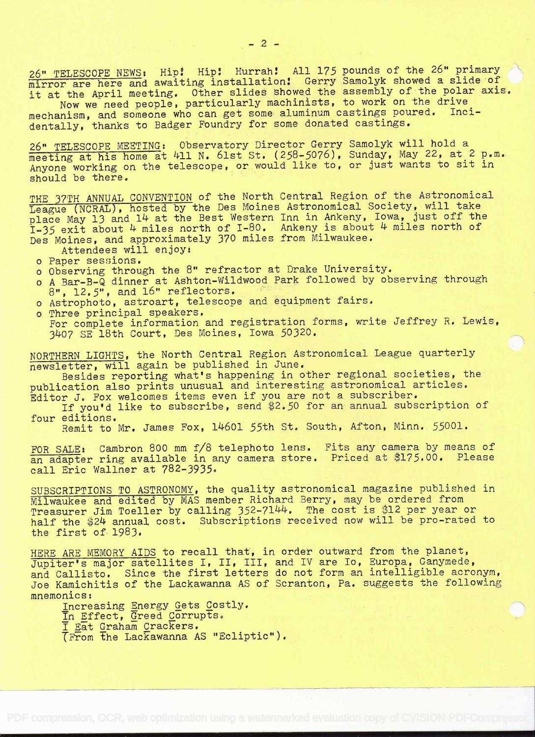26" TELESCOPE NEWS: Hip! Hip! Hurrah! All 175 pounds of the 26" primary mirror are here and awaiting installation! Gerry Samolyk showed a slide of it at the April meeting. Other slides showed the assembly of the polar axis.

Now we need people, particularly machinists, to work on the drive mechanism, and someone who can get some aluminum castings poured. Incidentally, thanks to Badger Foundry for some donated castings.

26" TELESCOPE MEETING: Observatory Director Gerry Samolyk will hold <sup>a</sup> meeting at his home at 411 N. 61st St. (258-5076), Sunday, May 22, at 2 p.m. Anyone working on the telescope, or would like to, or just wants to sit in should be there.

THE 37TH ANNUAL CONVENTION of the North Central Region of the Astronomical League (NCRAL), hosted by the Des Moines Astronomical Society, will take place May 13 and l4 at the Best Western Inn in Ankeny, Iowa, just off the  $I-35$  exit about  $4$  miles north of I-80. Ankeny is about  $4$  miles north of Des Moines, and approximately 370 miles from Milwaukee.

Attendees will enjoy:

- o Paper sessions.
- o Observing through the 8" refractor at Drake University.
- o A Bar-B-Q dinner at Ashton-Wildwood Park followed by observing through 8", 12.5", and 16" reflectors.
- o Astrophoto, astroart, telescope and equipment fairs.
- o Three principal speakers. For complete information and registration forms, write Jeffrey R. Lewis, 3407 SE 18th Court, Des Moines, Iowa 50320.

NORTHERN LIGHTS, the North Central Region Astronomical League quarterly newsletter, will again be published in June.

Besides reporting what's happening in other regional societies, the publication also prints unusual and interesting astronomical articles. Editor J. Fox welcomes items even if you are not a subscriber.

If you'd like to subscribe, send \$2.50 for an annual subscription of four editions.

Remit to Mr. James Fox, 14601 55th St. South, Afton, Minn. 55001.

FOR SALE: Cambron 800 mm f/8 telephoto lens. Fits any camera by means of an adapter ring available in any camera store. Priced at \$175.00. Please call Eric Waliner at 782-3935.

SUBSCRIPTIONS TO ASTRONOMY, the quality astronomical magazine published in Milwaukee and edited by MAS member Richard Berry, may be ordered from Treasurer Jim Toeller by calling 352-7144. The cost is \$12 per year or half the \$24 annual cost. Subscriptions received now will be pro-rated to the first of 1983.

HERE ARE MEMORY AIDS to recall that, in order outward from the planet,<br>Jupiter's major satellites I, II, III, and IV are Io, Europa, Ganymede, Jupiter's major satellites 1, 11, 111, and iv are 10, Europa, Ganymede,<br>and Callisto. Since the first letters do not form an intelligible acronym, Joe Kamichitis of the Lackawanna AS of Scranton, Pa. suggests the following mnemonics:

Increasing Energy Gets Costly.<br>In Effect, Greed Corrupts.<br>I Eat Graham Crackers. TFrom the Lackawanna AS "Ecliptic").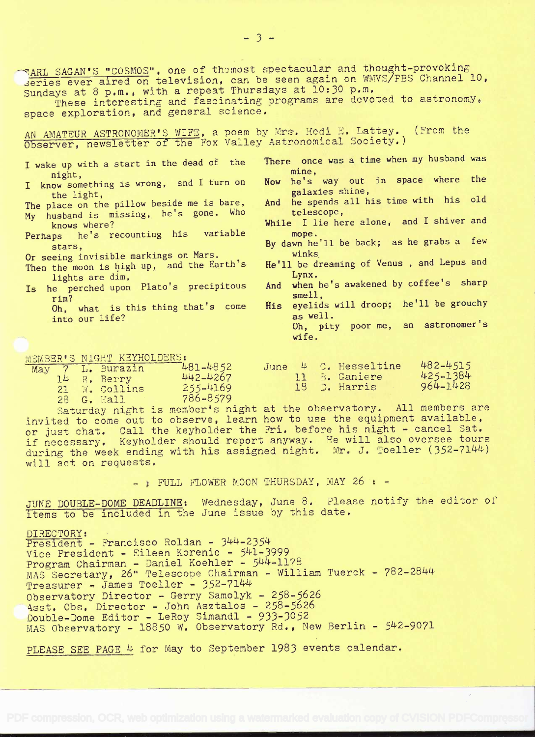$\bigcap_{k=1}^{\infty}$  ARL SAGAN'S "COSMOS", one of themost spectacular and thought-provoking deries ever aired on television, can be seen again on WMVS/FBS Channel 10, Sundays at 8 p.m., with a repeat Thursdays at 10:30 p.m. These interesting and fascinating programs are devoted to astronomy, space exploration, and general science. AN AMATEUR ASTRONOMER'S WIFE, a poem by Mrs. Hedi E. Lattey. (From the Observer, newsletter of the Pox Valley Astronomical Society.) <sup>I</sup>wake up with a start in the dead of the night, I know something is wrong, and I turn on the light, The place on the pillow beside me is bare, My husband is missing, he's gone. Who knows where? Perhaps he's recounting his variable mope. stars, Or seeing invisible markings on Mars. Then the moon is high up, and the Earth's  $He'11$  be d<br>lights are dim lights are dim, Is he perched upon Plato's precipitous<br>rim? r im? Oh, what is this thing that's come into our life? There once was a time when my husband was mine, Now he's way out in space where the galaxies shine, And he spends all his time with his old telescope, While I lie here alone, and I shiver and mope. By dawn he'll be back; as he grabs a few winks He'll be dreaming of Venus , and Lepus and Lynx. And when he's awakened by coffee's sharp smell, His eyelids will droop; he'll be grouchy as well. Oh, pity poor me, an astronomer's wife.

MEMBER'S NIGHT KEYHOLDERS:

|  | TOMOTOL O TATALLE THETATOLOGICA |          |  |                      |                                                                                                                                                                                                                                |
|--|---------------------------------|----------|--|----------------------|--------------------------------------------------------------------------------------------------------------------------------------------------------------------------------------------------------------------------------|
|  | May 7 L. Burazin                | 481-4852 |  | June 4 C. Hesseltine | 482-4515                                                                                                                                                                                                                       |
|  | 14 R. Berry                     | 442-4267 |  | 11 B. Ganiere        | 425-1384                                                                                                                                                                                                                       |
|  |                                 |          |  | 18 D. Harris         | 964-1428                                                                                                                                                                                                                       |
|  | 21 W. Collins                   | 255-4169 |  |                      |                                                                                                                                                                                                                                |
|  | 28 G. Hall                      | 786-8579 |  |                      |                                                                                                                                                                                                                                |
|  |                                 |          |  |                      | and the contract of the contract of the contract of the contract of the contract of the contract of the contract of the contract of the contract of the contract of the contract of the contract of the contract of the contra |

)aturday night is member's night at the observatory. All members are invited to come out to observe, learn how to use the equipment available, or just chat. Call the keyholder the Fri. before his night - cancel Sat. if necessary. Keyholder should report anyway. He will also oversee tours during the week ending with his assigned night. Mr. J. Toeller  $(352-7144)$ will act on requests.

 $-$  ; FULL FLOWER MOON THURSDAY, MAY 26  $\cdot$  -

JUNE DOUBLE-DOME DEADLINE: Wednesday, June 8. Please notify the editor of items to be included in the June issue by this date.

DIRECTORY: President - Francisco Roldan - 344-2354 Vice President - Eileen Korenic - 541-3999 Program Chairman - Daniel Koehier - 544-1178 MAS Secretary, 26" Telescope Chairman - William Tuerck - 782-2844 Treasurer - James Toeller - 352-7144 Observatory Director - Gerry Samolyk - 258-5626 Asst. Obs. Director - John Asztalos - 258-5626 Double-Dome Editor - LeRoy Simandi - 933-3052 MAS Observatory - 18850 W. Observatory Rd., New Berlin - 542-9071

PLEASE SEE PAGE 4 for May to September 1983 events calendar.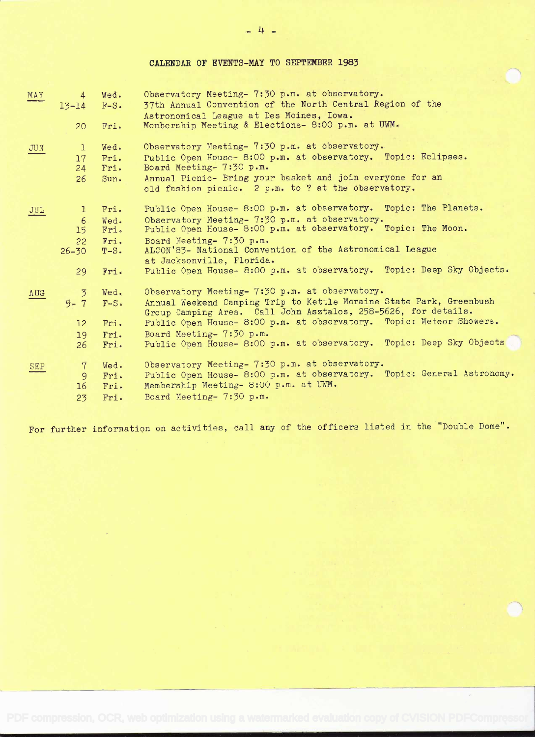CALENDAR OF EVENTS-MAY TO SEPTENBER 1983

| MAY | $\overline{4}$<br>$13 - 14$ | Wed.<br>$F-S.$ | Observatory Meeting- 7:30 p.m. at observatory.<br>37th Annual Convention of the North Central Region of the<br>Astronomical League at Des Moines, Iowa. |
|-----|-----------------------------|----------------|---------------------------------------------------------------------------------------------------------------------------------------------------------|
|     | 20                          | Fri.           | Membership Meeting & Elections- 8:00 p.m. at UWM.                                                                                                       |
| JUN | $\mathbf{1}$                | Wed.           | Observatory Meeting- 7:30 p.m. at observatory.                                                                                                          |
|     | 17 <sup>2</sup>             | Fri.           | Public Open House- 8:00 p.m. at observatory. Topic: Eclipses.                                                                                           |
|     | 24                          | Fri.           | Board Meeting- 7:30 p.m.                                                                                                                                |
|     | 26                          | Sun.           | Annual Picnic- Bring your basket and join everyone for an<br>old fashion picnic. 2 p.m. to ? at the observatory.                                        |
| JUL | $\mathbf{L}$                | Fri.           | Public Open House- 8:00 p.m. at observatory. Topic: The Planets.                                                                                        |
|     | -6                          | Wed.           | Observatory Meeting- 7:30 p.m. at observatory.                                                                                                          |
|     | 15 <sub>1</sub>             | Fri.           | Public Open House- 8:00 p.m. at observatory. Topic: The Moon.                                                                                           |
|     | 22 <sub>2</sub>             | Fri.           | Board Meeting- 7:30 p.m.                                                                                                                                |
|     | $26 - 30$                   | $T-S$ .        | ALCON'83- National Convention of the Astronomical League<br>at Jacksonville, Florida.                                                                   |
|     | 29                          | Fri.           | Public Open House- 8:00 p.m. at observatory. Topic: Deep Sky Objects.                                                                                   |
| AUG | $\overline{3}$              | Wed.           | Observatory Meeting- 7:30 p.m. at observatory.                                                                                                          |
|     | $5 - 7$                     | $F-S$          | Annual Weekend Camping Trip to Kettle Moraine State Park, Greenbush<br>Group Camping Area. Call John Asztalos, 258-5626, for details.                   |
|     | 12 <sup>°</sup>             | Fri.           | Public Open House- 8:00 p.m. at observatory. Topic: Meteor Showers.                                                                                     |
|     | 19                          | Fri.           | Board Meeting- 7:30 p.m.                                                                                                                                |
|     | 26                          | Fri.           | Public Open House- 8:00 p.m. at observatory. Topic: Deep Sky Objects                                                                                    |
| SEP | 7                           | Wed.           | Observatory Meeting- 7:30 p.m. at observatory.                                                                                                          |
|     | 9                           | Fri.           | Public Open House- 8:00 p.m. at observatory. Topic: General Astronomy.                                                                                  |
|     | 16                          | Fri.           | Membership Meeting- 8:00 p.m. at UWM.                                                                                                                   |
|     | 23                          | Fri.           | Board Meeting- 7:30 p.m.                                                                                                                                |
|     |                             |                |                                                                                                                                                         |

For further information on activities, call any of the officers listed in the "Double Dome".

 $-4 -$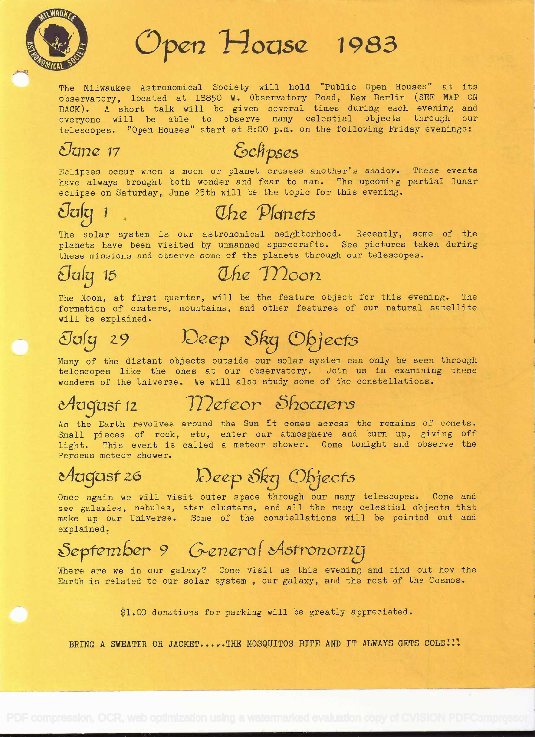

# Open House 1983

The Milwaukee Astronomical Society will hold "Public Open Houses" at its observatory, located at 18850 W. Observatory Road, New Berlin (SEE MAP ON BACK). A short talk will be given several times during each evening and everyone will be able to observe many celestial objects through our telescopes. "Open Houses" start at 8:00 p.m. on the following Friday evenings:<br>*Universe Schpses* 

Eclipses occur when a moon or planet crosses another's shadow. These events have always brought both wonder and fear to man. The upcoming partial lunar eclipse on Saturday, June 25th will be the topic for this evening.

### $\mathcal{O}$  is the  $\mathcal{O}$  in  $\mathcal{O}$  is the  $\mathcal{O}$  of  $\mathcal{O}$  is the  $\mathcal{O}$  is the  $\mathcal{O}$  is the  $\mathcal{O}$  is the  $\mathcal{O}$  is the  $\mathcal{O}$  is the  $\mathcal{O}$  is the  $\mathcal{O}$  is the  $\mathcal{O}$  is the  $\mathcal{O}$  is the  $\mathcal{$

The solar system is our astronomical neighborhood. Recently, some of the planets have been visited by unmanned spacecrafts. See pictures taken during these missions and observe some of the planets through our telescopes.

Ouly 15 Uhe Moon

The Moon, at first quarter, will be the feature object for this evening. The formation of craters, mountains, and other features of our natural satellite will be explained.

# July 29 Deep Sky Objects

Many of the distant objects outside our solar system can only be seen through telescopes like the ones at our observatory. Join us in examining these wonders of the Universe. We will also study some of the constellations.

### August 12

### Meteor Shocuers

As the Earth revolves around the Sun it comes across the remains of comets. Small pieces of rock, etc, enter our atmosphere and burn up, giving off light. This event is called a meteor shower. Come tonight and observe the Ferseus meteor shower.

Magast 26 Deep Sky Objects

Once again we will visit outer space through our many telescopes. Come and see galaxies, nebulas, star clusters, and all the many celestial objects that make up our Universe. Some of the constellations will be pointed out and explained.

# September 9 General Astronomy

Where are we in our galaxy? Come visit us this evening and find out how the Earth is related to our solar system , our galaxy, and the rest of the Cosmos.

\$1.00 donations for parking will be greatly appreciated.

BRING A SWEATER OR JACKET.....THE MOSQUITOS BITE AND IT ALWAYS GETS COLD: :!